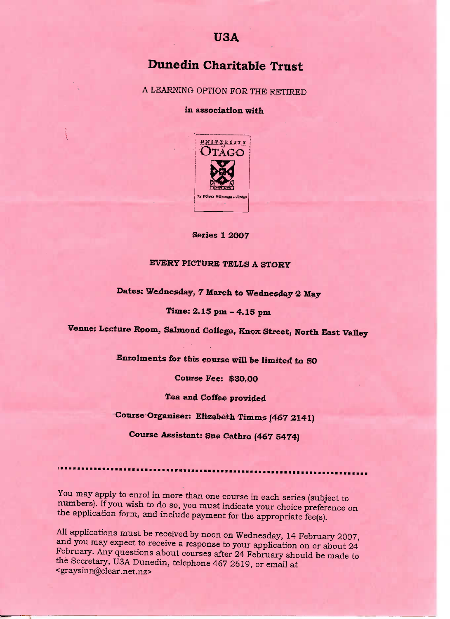# **Dunedin Charitable Trust**

A LEARNING OPTION FOR THE RETIRED

**in association** with



**Series 1 2007**

## EVERY PICTURE TELLS A STORY

## **Dates:** Wednesday, 7 March **to Wednesday 2 May**

### **Time: 2.13 pm - 4.15 pm**

**Venue: Lecture** Room, **Salmon d** College, **Knox** Street, **North East Valley**

Enrolments **for this course will be limited to 50**

**Course Fee:** \$30.00

**Tea and Coffee provided**

**Course Organiser: Elizabeth Timms (467 2141)**

**Course Assistant:** Sue Cathro **(467 5474)**

You may apply to enrol in more than one course in each series (subject to

numbers). If you wish to do so, you must indicate your choice preference on the application form, and include payment for the appropriate fee(s).

All applications must be received by noon on Wednesday, 14 February 2007, and you may expect to receive a response to your application on or about 24 February. Any questions about courses after 24 February should be made to the Secretary, U3A Dunedin, telephone 467 2619, or email at <graysinn@clear.net.nz>